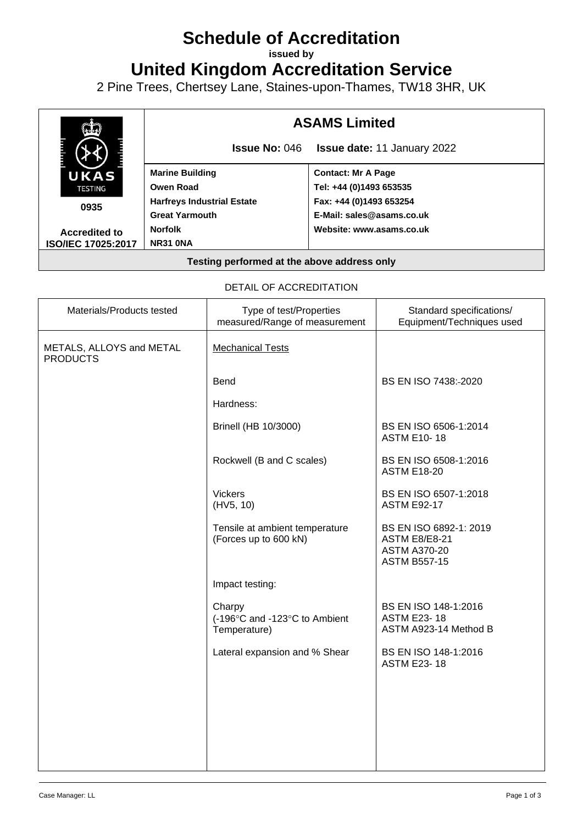# **Schedule of Accreditation**

**issued by**

**United Kingdom Accreditation Service**

2 Pine Trees, Chertsey Lane, Staines-upon-Thames, TW18 3HR, UK



## DETAIL OF ACCREDITATION

| Materials/Products tested                   | Type of test/Properties<br>measured/Range of measurement | Standard specifications/<br>Equipment/Techniques used                                        |
|---------------------------------------------|----------------------------------------------------------|----------------------------------------------------------------------------------------------|
| METALS, ALLOYS and METAL<br><b>PRODUCTS</b> | <b>Mechanical Tests</b>                                  |                                                                                              |
|                                             | <b>Bend</b>                                              | BS EN ISO 7438:-2020                                                                         |
|                                             | Hardness:                                                |                                                                                              |
|                                             | Brinell (HB 10/3000)                                     | BS EN ISO 6506-1:2014<br><b>ASTM E10-18</b>                                                  |
|                                             | Rockwell (B and C scales)                                | BS EN ISO 6508-1:2016<br><b>ASTM E18-20</b>                                                  |
|                                             | <b>Vickers</b><br>(HV5, 10)                              | BS EN ISO 6507-1:2018<br><b>ASTM E92-17</b>                                                  |
|                                             | Tensile at ambient temperature<br>(Forces up to 600 kN)  | BS EN ISO 6892-1: 2019<br><b>ASTM E8/E8-21</b><br><b>ASTM A370-20</b><br><b>ASTM B557-15</b> |
|                                             | Impact testing:                                          |                                                                                              |
|                                             | Charpy<br>(-196°C and -123°C to Ambient<br>Temperature)  | BS EN ISO 148-1:2016<br><b>ASTM E23-18</b><br>ASTM A923-14 Method B                          |
|                                             | Lateral expansion and % Shear                            | BS EN ISO 148-1:2016<br><b>ASTM E23-18</b>                                                   |
|                                             |                                                          |                                                                                              |
|                                             |                                                          |                                                                                              |
|                                             |                                                          |                                                                                              |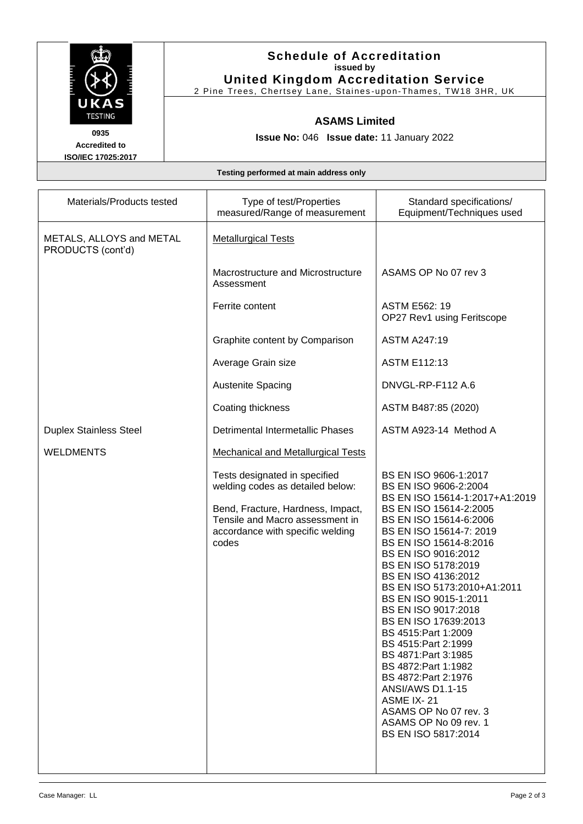

# **Schedule of Accreditation issued by United Kingdom Accreditation Service**

2 Pine Trees, Chertsey Lane, Staines -upon -Thames, TW18 3HR, UK

#### **ASAMS Limited**

**Issue No:** 046 **Issue date:** 11 January 2022

**Accredited to ISO/IEC 17025:2017**

**Testing performed at main address only**

| Materials/Products tested                     | Type of test/Properties<br>measured/Range of measurement                                                                                                                               | Standard specifications/<br>Equipment/Techniques used                                                                                                                                                                                                                                                                                                                                                                                                                                                                                                                                                            |
|-----------------------------------------------|----------------------------------------------------------------------------------------------------------------------------------------------------------------------------------------|------------------------------------------------------------------------------------------------------------------------------------------------------------------------------------------------------------------------------------------------------------------------------------------------------------------------------------------------------------------------------------------------------------------------------------------------------------------------------------------------------------------------------------------------------------------------------------------------------------------|
| METALS, ALLOYS and METAL<br>PRODUCTS (cont'd) | <b>Metallurgical Tests</b>                                                                                                                                                             |                                                                                                                                                                                                                                                                                                                                                                                                                                                                                                                                                                                                                  |
|                                               | Macrostructure and Microstructure<br>Assessment                                                                                                                                        | ASAMS OP No 07 rev 3                                                                                                                                                                                                                                                                                                                                                                                                                                                                                                                                                                                             |
|                                               | Ferrite content                                                                                                                                                                        | <b>ASTM E562: 19</b><br>OP27 Rev1 using Feritscope                                                                                                                                                                                                                                                                                                                                                                                                                                                                                                                                                               |
|                                               | Graphite content by Comparison                                                                                                                                                         | <b>ASTM A247:19</b>                                                                                                                                                                                                                                                                                                                                                                                                                                                                                                                                                                                              |
|                                               | Average Grain size                                                                                                                                                                     | <b>ASTM E112:13</b>                                                                                                                                                                                                                                                                                                                                                                                                                                                                                                                                                                                              |
|                                               | <b>Austenite Spacing</b>                                                                                                                                                               | DNVGL-RP-F112 A.6                                                                                                                                                                                                                                                                                                                                                                                                                                                                                                                                                                                                |
|                                               | Coating thickness                                                                                                                                                                      | ASTM B487:85 (2020)                                                                                                                                                                                                                                                                                                                                                                                                                                                                                                                                                                                              |
| <b>Duplex Stainless Steel</b>                 | <b>Detrimental Intermetallic Phases</b>                                                                                                                                                | ASTM A923-14 Method A                                                                                                                                                                                                                                                                                                                                                                                                                                                                                                                                                                                            |
| <b>WELDMENTS</b>                              | <b>Mechanical and Metallurgical Tests</b>                                                                                                                                              |                                                                                                                                                                                                                                                                                                                                                                                                                                                                                                                                                                                                                  |
|                                               | Tests designated in specified<br>welding codes as detailed below:<br>Bend, Fracture, Hardness, Impact,<br>Tensile and Macro assessment in<br>accordance with specific welding<br>codes | BS EN ISO 9606-1:2017<br>BS EN ISO 9606-2:2004<br>BS EN ISO 15614-1:2017+A1:2019<br>BS EN ISO 15614-2:2005<br>BS EN ISO 15614-6:2006<br>BS EN ISO 15614-7: 2019<br>BS EN ISO 15614-8:2016<br>BS EN ISO 9016:2012<br>BS EN ISO 5178:2019<br>BS EN ISO 4136:2012<br>BS EN ISO 5173:2010+A1:2011<br>BS EN ISO 9015-1:2011<br>BS EN ISO 9017:2018<br>BS EN ISO 17639:2013<br>BS 4515: Part 1: 2009<br>BS 4515: Part 2:1999<br>BS 4871: Part 3:1985<br>BS 4872: Part 1:1982<br>BS 4872: Part 2:1976<br><b>ANSI/AWS D1.1-15</b><br>ASME IX-21<br>ASAMS OP No 07 rev. 3<br>ASAMS OP No 09 rev. 1<br>BS EN ISO 5817:2014 |